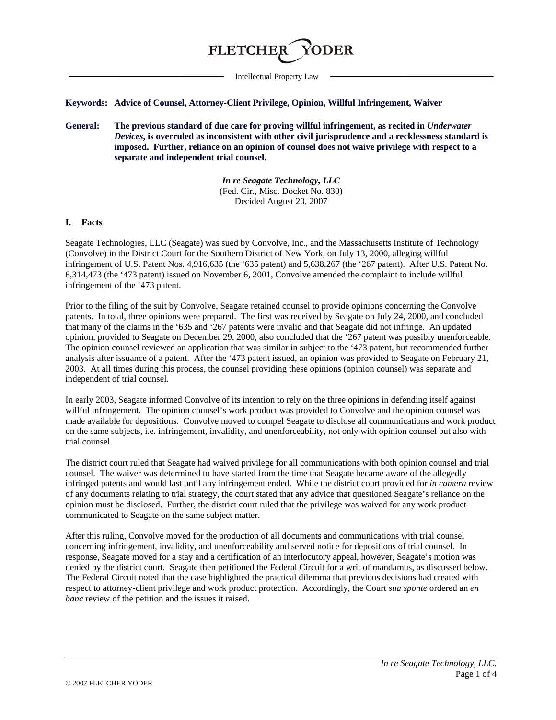

Intellectual Property Law

#### **Keywords: Advice of Counsel, Attorney-Client Privilege, Opinion, Willful Infringement, Waiver**

**General: The previous standard of due care for proving willful infringement, as recited in** *Underwater Devices***, is overruled as inconsistent with other civil jurisprudence and a recklessness standard is imposed. Further, reliance on an opinion of counsel does not waive privilege with respect to a separate and independent trial counsel.**

> *In re Seagate Technology, LLC* (Fed. Cir., Misc. Docket No. 830) Decided August 20, 2007

### **I. Facts**

Seagate Technologies, LLC (Seagate) was sued by Convolve, Inc., and the Massachusetts Institute of Technology (Convolve) in the District Court for the Southern District of New York, on July 13, 2000, alleging willful infringement of U.S. Patent Nos. 4,916,635 (the '635 patent) and 5,638,267 (the '267 patent). After U.S. Patent No. 6,314,473 (the '473 patent) issued on November 6, 2001, Convolve amended the complaint to include willful infringement of the '473 patent.

Prior to the filing of the suit by Convolve, Seagate retained counsel to provide opinions concerning the Convolve patents. In total, three opinions were prepared. The first was received by Seagate on July 24, 2000, and concluded that many of the claims in the '635 and '267 patents were invalid and that Seagate did not infringe. An updated opinion, provided to Seagate on December 29, 2000, also concluded that the '267 patent was possibly unenforceable. The opinion counsel reviewed an application that was similar in subject to the '473 patent, but recommended further analysis after issuance of a patent. After the '473 patent issued, an opinion was provided to Seagate on February 21, 2003. At all times during this process, the counsel providing these opinions (opinion counsel) was separate and independent of trial counsel.

In early 2003, Seagate informed Convolve of its intention to rely on the three opinions in defending itself against willful infringement. The opinion counsel's work product was provided to Convolve and the opinion counsel was made available for depositions. Convolve moved to compel Seagate to disclose all communications and work product on the same subjects, i.e. infringement, invalidity, and unenforceability, not only with opinion counsel but also with trial counsel.

The district court ruled that Seagate had waived privilege for all communications with both opinion counsel and trial counsel. The waiver was determined to have started from the time that Seagate became aware of the allegedly infringed patents and would last until any infringement ended. While the district court provided for *in camera* review of any documents relating to trial strategy, the court stated that any advice that questioned Seagate's reliance on the opinion must be disclosed. Further, the district court ruled that the privilege was waived for any work product communicated to Seagate on the same subject matter.

After this ruling, Convolve moved for the production of all documents and communications with trial counsel concerning infringement, invalidity, and unenforceability and served notice for depositions of trial counsel. In response, Seagate moved for a stay and a certification of an interlocutory appeal, however, Seagate's motion was denied by the district court. Seagate then petitioned the Federal Circuit for a writ of mandamus, as discussed below. The Federal Circuit noted that the case highlighted the practical dilemma that previous decisions had created with respect to attorney-client privilege and work product protection. Accordingly, the Court *sua sponte* ordered an *en banc* review of the petition and the issues it raised.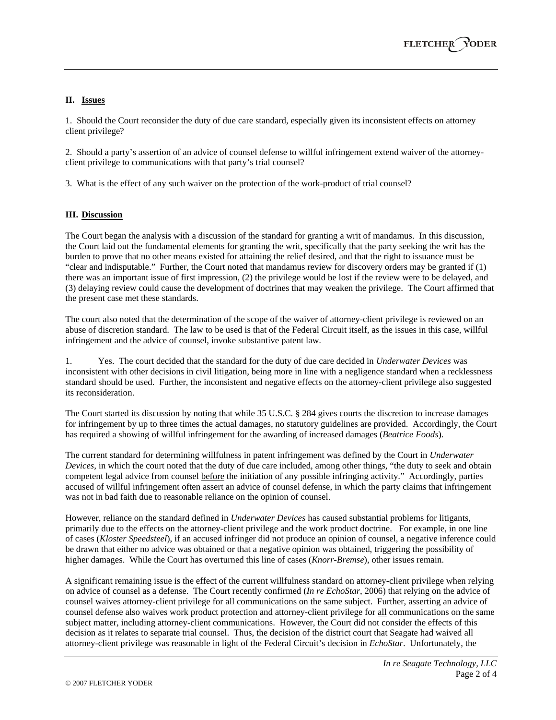# **II. Issues**

1. Should the Court reconsider the duty of due care standard, especially given its inconsistent effects on attorney client privilege?

2. Should a party's assertion of an advice of counsel defense to willful infringement extend waiver of the attorneyclient privilege to communications with that party's trial counsel?

3. What is the effect of any such waiver on the protection of the work-product of trial counsel?

## **III. Discussion**

The Court began the analysis with a discussion of the standard for granting a writ of mandamus. In this discussion, the Court laid out the fundamental elements for granting the writ, specifically that the party seeking the writ has the burden to prove that no other means existed for attaining the relief desired, and that the right to issuance must be "clear and indisputable." Further, the Court noted that mandamus review for discovery orders may be granted if (1) there was an important issue of first impression, (2) the privilege would be lost if the review were to be delayed, and (3) delaying review could cause the development of doctrines that may weaken the privilege. The Court affirmed that the present case met these standards.

The court also noted that the determination of the scope of the waiver of attorney-client privilege is reviewed on an abuse of discretion standard. The law to be used is that of the Federal Circuit itself, as the issues in this case, willful infringement and the advice of counsel, invoke substantive patent law.

1. Yes. The court decided that the standard for the duty of due care decided in *Underwater Devices* was inconsistent with other decisions in civil litigation, being more in line with a negligence standard when a recklessness standard should be used. Further, the inconsistent and negative effects on the attorney-client privilege also suggested its reconsideration.

The Court started its discussion by noting that while 35 U.S.C. § 284 gives courts the discretion to increase damages for infringement by up to three times the actual damages, no statutory guidelines are provided. Accordingly, the Court has required a showing of willful infringement for the awarding of increased damages (*Beatrice Foods*).

The current standard for determining willfulness in patent infringement was defined by the Court in *Underwater Devices*, in which the court noted that the duty of due care included, among other things, "the duty to seek and obtain competent legal advice from counsel before the initiation of any possible infringing activity." Accordingly, parties accused of willful infringement often assert an advice of counsel defense, in which the party claims that infringement was not in bad faith due to reasonable reliance on the opinion of counsel.

However, reliance on the standard defined in *Underwater Devices* has caused substantial problems for litigants, primarily due to the effects on the attorney-client privilege and the work product doctrine. For example, in one line of cases (*Kloster Speedsteel*), if an accused infringer did not produce an opinion of counsel, a negative inference could be drawn that either no advice was obtained or that a negative opinion was obtained, triggering the possibility of higher damages. While the Court has overturned this line of cases (*Knorr-Bremse*), other issues remain.

A significant remaining issue is the effect of the current willfulness standard on attorney-client privilege when relying on advice of counsel as a defense. The Court recently confirmed (*In re EchoStar*, 2006) that relying on the advice of counsel waives attorney-client privilege for all communications on the same subject. Further, asserting an advice of counsel defense also waives work product protection and attorney-client privilege for all communications on the same subject matter, including attorney-client communications. However, the Court did not consider the effects of this decision as it relates to separate trial counsel. Thus, the decision of the district court that Seagate had waived all attorney-client privilege was reasonable in light of the Federal Circuit's decision in *EchoStar*. Unfortunately, the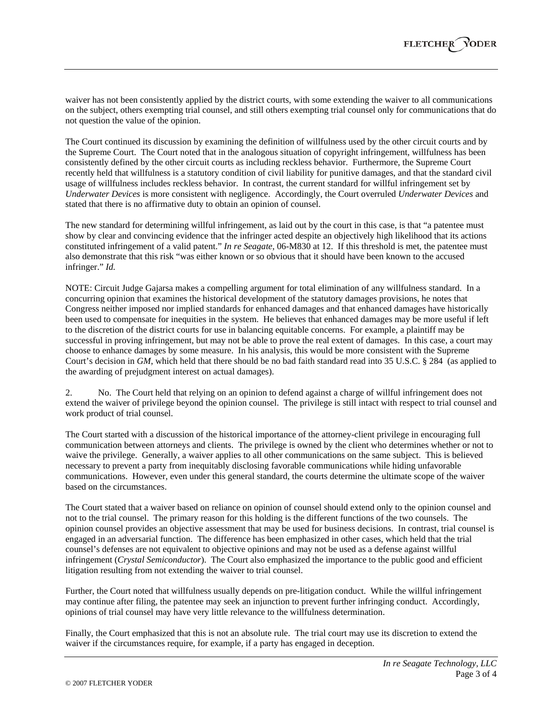waiver has not been consistently applied by the district courts, with some extending the waiver to all communications on the subject, others exempting trial counsel, and still others exempting trial counsel only for communications that do not question the value of the opinion.

The Court continued its discussion by examining the definition of willfulness used by the other circuit courts and by the Supreme Court. The Court noted that in the analogous situation of copyright infringement, willfulness has been consistently defined by the other circuit courts as including reckless behavior. Furthermore, the Supreme Court recently held that willfulness is a statutory condition of civil liability for punitive damages, and that the standard civil usage of willfulness includes reckless behavior. In contrast, the current standard for willful infringement set by *Underwater Devices* is more consistent with negligence. Accordingly, the Court overruled *Underwater Devices* and stated that there is no affirmative duty to obtain an opinion of counsel.

The new standard for determining willful infringement, as laid out by the court in this case, is that "a patentee must show by clear and convincing evidence that the infringer acted despite an objectively high likelihood that its actions constituted infringement of a valid patent." *In re Seagate*, 06-M830 at 12. If this threshold is met, the patentee must also demonstrate that this risk "was either known or so obvious that it should have been known to the accused infringer." *Id.*

NOTE: Circuit Judge Gajarsa makes a compelling argument for total elimination of any willfulness standard. In a concurring opinion that examines the historical development of the statutory damages provisions, he notes that Congress neither imposed nor implied standards for enhanced damages and that enhanced damages have historically been used to compensate for inequities in the system. He believes that enhanced damages may be more useful if left to the discretion of the district courts for use in balancing equitable concerns. For example, a plaintiff may be successful in proving infringement, but may not be able to prove the real extent of damages. In this case, a court may choose to enhance damages by some measure. In his analysis, this would be more consistent with the Supreme Court's decision in *GM*, which held that there should be no bad faith standard read into 35 U.S.C. § 284 (as applied to the awarding of prejudgment interest on actual damages).

2. No. The Court held that relying on an opinion to defend against a charge of willful infringement does not extend the waiver of privilege beyond the opinion counsel. The privilege is still intact with respect to trial counsel and work product of trial counsel.

The Court started with a discussion of the historical importance of the attorney-client privilege in encouraging full communication between attorneys and clients. The privilege is owned by the client who determines whether or not to waive the privilege. Generally, a waiver applies to all other communications on the same subject. This is believed necessary to prevent a party from inequitably disclosing favorable communications while hiding unfavorable communications. However, even under this general standard, the courts determine the ultimate scope of the waiver based on the circumstances.

The Court stated that a waiver based on reliance on opinion of counsel should extend only to the opinion counsel and not to the trial counsel. The primary reason for this holding is the different functions of the two counsels. The opinion counsel provides an objective assessment that may be used for business decisions. In contrast, trial counsel is engaged in an adversarial function. The difference has been emphasized in other cases, which held that the trial counsel's defenses are not equivalent to objective opinions and may not be used as a defense against willful infringement (*Crystal Semiconductor*). The Court also emphasized the importance to the public good and efficient litigation resulting from not extending the waiver to trial counsel.

Further, the Court noted that willfulness usually depends on pre-litigation conduct. While the willful infringement may continue after filing, the patentee may seek an injunction to prevent further infringing conduct. Accordingly, opinions of trial counsel may have very little relevance to the willfulness determination.

Finally, the Court emphasized that this is not an absolute rule. The trial court may use its discretion to extend the waiver if the circumstances require, for example, if a party has engaged in deception.